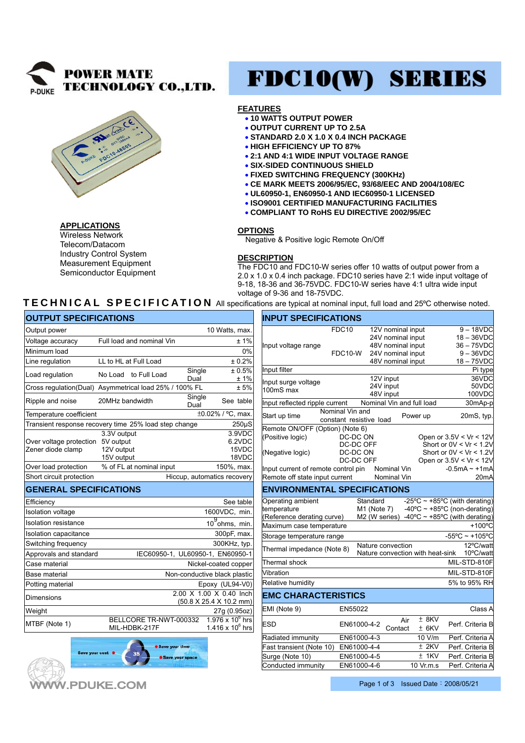



### **APPLICATIONS**

Wireless Network Telecom/Datacom Industry Control System Measurement Equipment Semiconductor Equipment

# **FDC10(W) SERIES**

#### **FEATURES**

- **10 WATTS OUTPUT POWER**
- **OUTPUT CURRENT UP TO 2.5A**
- **STANDARD 2.0 X 1.0 X 0.4 INCH PACKAGE**
- **HIGH EFFICIENCY UP TO 87%**
- **2:1 AND 4:1 WIDE INPUT VOLTAGE RANGE**
- **SIX-SIDED CONTINUOUS SHIELD**
- **FIXED SWITCHING FREQUENCY (300KHz)**
- **CE MARK MEETS 2006/95/EC, 93/68/EEC AND 2004/108/EC**
- **UL60950-1, EN60950-1 AND IEC60950-1 LICENSED**
- **ISO9001 CERTIFIED MANUFACTURING FACILITIES**
- **COMPLIANT TO RoHS EU DIRECTIVE 2002/95/EC**

#### **OPTIONS**

Negative & Positive logic Remote On/Off

**INPUT SPECIFICATIONS**

#### **DESCRIPTION**

The FDC10 and FDC10-W series offer 10 watts of output power from a 2.0 x 1.0 x 0.4 inch package. FDC10 series have 2:1 wide input voltage of 9-18, 18-36 and 36-75VDC. FDC10-W series have 4:1 ultra wide input voltage of 9-36 and 18-75VDC.

**TECHNICAL SPECIFICATION** All specifications are typical at nominal input, full load and 25ºC otherwise noted.

 $\mathsf I$ 

| <b>OUTPUT SPECIFICATIONS</b>                 |                                                       |                |                                                                        |
|----------------------------------------------|-------------------------------------------------------|----------------|------------------------------------------------------------------------|
| Output power                                 |                                                       |                | 10 Watts, max.                                                         |
| Voltage accuracy                             | Full load and nominal Vin                             |                | ±1%                                                                    |
| Minimum load                                 |                                                       |                | $0\%$                                                                  |
| Line regulation                              | LL to HL at Full Load                                 |                | ± 0.2%                                                                 |
| Load regulation                              | to Full Load<br>No Load                               | Single<br>Dual | ± 0.5%<br>±1%                                                          |
| Cross regulation(Dual)                       | Asymmetrical load 25% / 100% FL                       |                | ± 5%                                                                   |
| Ripple and noise                             | 20MHz bandwidth                                       | Single<br>Dual | See table                                                              |
| Temperature coefficient                      |                                                       |                | ±0.02% / °C, max.                                                      |
|                                              | Transient response recovery time 25% load step change |                | $250\mu S$                                                             |
| Over voltage protection<br>Zener diode clamp | 3.3V output<br>5V output<br>12V output<br>15V output  |                | 3.9VDC<br>6.2VDC<br>15VDC<br>18VDC                                     |
| Over load protection                         | % of FL at nominal input                              |                | 150%, max.                                                             |
| Short circuit protection                     |                                                       |                | Hiccup, automatics recovery                                            |
| <b>GENERAL SPECIFICATIONS</b>                |                                                       |                |                                                                        |
| Efficiency                                   |                                                       |                | See table                                                              |
| <b>Isolation voltage</b>                     |                                                       |                | 1600VDC, min.                                                          |
| <b>Isolation resistance</b>                  |                                                       |                | 10 <sup>9</sup> ohms, min.                                             |
| <b>Isolation capacitance</b>                 |                                                       |                | 300pF, max.                                                            |
| Switching frequency                          |                                                       |                | 300KHz, typ.                                                           |
| Approvals and standard                       |                                                       |                | IEC60950-1, UL60950-1, EN60950-1                                       |
| Case material                                |                                                       |                | Nickel-coated copper                                                   |
| <b>Base material</b>                         |                                                       |                | Non-conductive black plastic                                           |
| Potting material                             |                                                       |                | Epoxy (UL94-V0)                                                        |
| <b>Dimensions</b>                            |                                                       |                | 2.00 X 1.00 X 0.40 lnch<br>$(50.8 \times 25.4 \times 10.2 \text{ mm})$ |
| Weight                                       |                                                       |                | 27g (0.95oz)                                                           |
| MTBF (Note 1)                                | BELLCORE TR-NWT-000332<br>MIL-HDBK-217F               |                | $1.976 \times 10^6$ hrs<br>1.416 x 10 $^{6}$ hrs                       |
|                                              | <b>COMPANY</b>                                        |                |                                                                        |

**Je vour sn** 

Input voltage range FDC10 FDC10-W 12V nominal input 24V nominal input 48V nominal input 24V nominal input 48V nominal input 9 – 18VDC 18 – 36VDC 36 – 75VDC 9 – 36VDC 18 – 75VDC Input filter Pintype Input surge voltage 100mS max 12V input 24V input 48V input 36VDC 50VDC 100VDC Input reflected ripple current Nominal Vin and full load 30mAp-p **Start up time** Nominal Vin and rominal viritalium<br>
Power up 20mS, typ. Remote ON/OFF (Option) (Note 6) (Positive logic) (Negative logic) DC-DC ON DC-DC OFF DC-DC ON DC-DC OFF Open or  $3.5V < Vr < 12V$ Short or  $0V < Vr < 1.2V$ Short or 0V < Vr < 1.2V Open or  $3.5V < Vr < 12V$ <br>-0.5mA ~ +1mA Input current of remote control pin Nominal Vin -0.5mA ~ +1mA<br>Remote off state input current - Nominal Vin -0.5mA ~ 20mA Remote off state input current Nominal Vin **ENVIRONMENTAL SPECIFICATIONS** Operating ambient temperature (Reference derating curve) **Standard** M1 (Note 7) M2 (W series) -40°C  $\sim$  +85°C (with derating)  $-25^{\circ}$ C ~ +85 $^{\circ}$ C (with derating)  $-40^{\circ}$ C ~ +85 $^{\circ}$ C (non-derating) Maximum case temperature +100°C Storage temperature range  $-55^{\circ}$ C ~ +105°C Thermal impedance (Note 8) Nature convection Nature convection with heat-sink 12°C/watt 10°C/watt Thermal shock MIL-STD-810F Vibration MIL-STD-810F Relative humidity 6% and the set of the SS and the SS and the SS and the SS and the SS are set of the SS and the SS and the SS and the SS and the SS and the SS and the SS and the SS and the SS and the SS and the SS and the **EMC CHARACTERISTICS**  $EMI (Note 9)$  EN55022 Class A  $\mathsf{ESD} \quad \mathsf{EN61000-4-2} \quad \mathsf{Air}$ Contact ± 8KV  $\pm$  6KV Perf. Criteria B Radiated immunity EN61000-4-3 10 V/m Perf. Criteria A

Fast transient (Note 10) EN61000-4-4  $\pm$  2KV Perf. Criteria B Surge (Note 10)  $EN61000-4-5 \t\pm 1KV$  Perf. Criteria B Conducted immunity EN61000-4-6 10 Vr.m.s Perf. Criteria A



Page 1 of 3 Issued Date:2008/05/21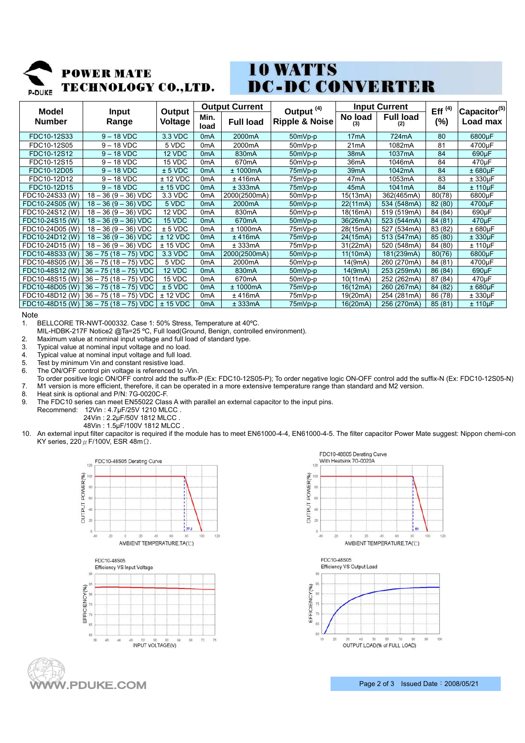### **POWER MATE** TECHNOLOGY CO., LTD.

### **10 WATTS DC-DC CONVERTER**

| <b>Model</b>    |                        |                   | <b>Output Current</b> |                    | Output <sup>(4)</sup>     | <b>Input Current</b> |                         | $Eff^{(4)}$ | Capacitor <sup>(5)</sup> |
|-----------------|------------------------|-------------------|-----------------------|--------------------|---------------------------|----------------------|-------------------------|-------------|--------------------------|
| <b>Number</b>   | Input<br>Range         | Output<br>Voltage | Min.<br>load          | <b>Full load</b>   | <b>Ripple &amp; Noise</b> | No load<br>(3)       | <b>Full load</b><br>(2) | $(\%)$      | Load max                 |
| FDC10-12S33     | $9 - 18$ VDC           | 3.3 VDC           | 0 <sub>m</sub> A      | 2000mA             | 50mVp-p                   | 17mA                 | 724mA                   | 80          | 6800µF                   |
| FDC10-12S05     | $9 - 18$ VDC           | 5 VDC             | 0 <sub>m</sub> A      | 2000mA             | 50mVp-p                   | 21mA                 | 1082mA                  | 81          | 4700µF                   |
| FDC10-12S12     | $9 - 18$ VDC           | 12 VDC            | 0 <sub>m</sub> A      | 830 <sub>m</sub> A | 50mVp-p                   | 38 <sub>m</sub> A    | 1037mA                  | 84          | 690µF                    |
| FDC10-12S15     | $9 - 18$ VDC           | 15 VDC            | 0 <sub>m</sub> A      | 670 <sub>m</sub> A | 50mVp-p                   | 36mA                 | 1046mA                  | 84          | 470µF                    |
| FDC10-12D05     | $9 - 18$ VDC           | $± 5$ VDC         | 0 <sub>m</sub> A      | ± 1000mA           | 75mVp-p                   | 39 <sub>m</sub> A    | 1042mA                  | 84          | $± 680 \mu F$            |
| FDC10-12D12     | $9 - 18$ VDC           | $± 12$ VDC        | 0 <sub>m</sub> A      | ± 416mA            | 75mVp-p                   | 47 <sub>m</sub> A    | 1053mA                  | 83          | $± 330 \mu F$            |
| FDC10-12D15     | $9 - 18$ VDC           | $± 15$ VDC        | 0 <sub>m</sub> A      | ± 333mA            | 75mVp-p                   | 45 <sub>m</sub> A    | 1041mA                  | 84          | $± 110 \mu F$            |
| FDC10-24S33 (W) | $18 - 36 (9 - 36)$ VDC | 3.3 VDC           | 0 <sub>m</sub> A      | 2000(2500mA)       | 50mVp-p                   | 15(13mA)             | 362(465mA)              | 80(78)      | 6800µF                   |
| FDC10-24S05 (W) | $18 - 36 (9 - 36)$ VDC | 5 VDC             | 0 <sub>m</sub> A      | 2000mA             | 50mVp-p                   | 22(11mA)             | 534 (548mA)             | 82 (80)     | 4700µF                   |
| FDC10-24S12 (W) | $18 - 36 (9 - 36)$ VDC | 12 VDC            | 0 <sub>m</sub> A      | 830 <sub>m</sub> A | 50mVp-p                   | 18(16mA)             | 519 (519mA)             | 84 (84)     | 690µF                    |
| FDC10-24S15 (W) | $18 - 36 (9 - 36)$ VDC | 15 VDC            | 0 <sub>m</sub> A      | 670mA              | 50mVp-p                   | 36(26mA)             | 523 (544mA)             | 84 (81)     | 470µF                    |
| FDC10-24D05 (W) | $18 - 36(9 - 36)$ VDC  | ± 5 VDC           | 0 <sub>m</sub> A      | ± 1000mA           | 75mVp-p                   | 28(15mA)             | 527 (534mA)             | 83 (82)     | $± 680 \mu F$            |
| FDC10-24D12 (W) | $18 - 36 (9 - 36)$ VDC | $± 12$ VDC        | 0 <sub>m</sub> A      | ± 416mA            | 75mVp-p                   | 24(15mA)             | 513 (547mA)             | 85 (80)     | $± 330 \mu F$            |
| FDC10-24D15 (W) | $18 - 36(9 - 36)$ VDC  | $± 15$ VDC        | 0 <sub>m</sub> A      | ± 333mA            | 75mVp-p                   | 31(22mA)             | 520 (548mA)             | 84 (80)     | $± 110 \mu F$            |
| FDC10-48S33 (W) | $36 - 75(18 - 75)$ VDC | 3.3 VDC           | 0 <sub>m</sub> A      | 2000(2500mA)       | 50mVp-p                   | 11(10mA)             | 181(239mA)              | 80(76)      | 6800µF                   |
| FDC10-48S05 (W) | $36 - 75(18 - 75)$ VDC | 5 VDC             | 0 <sub>m</sub> A      | 2000mA             | 50mVp-p                   | 14(9mA)              | 260 (270mA)             | 84 (81)     | 4700µF                   |
| FDC10-48S12 (W) | $36 - 75(18 - 75)$ VDC | 12 VDC            | 0 <sub>m</sub> A      | 830 <sub>m</sub> A | 50mVp-p                   | 14(9mA)              | 253 (259mA)             | 86 (84)     | 690 <sub>u</sub> F       |
| FDC10-48S15 (W) | $36 - 75(18 - 75)$ VDC | 15 VDC            | 0 <sub>m</sub> A      | 670mA              | 50mVp-p                   | 10(11mA)             | 252 (262mA)             | 87 (84)     | 470µF                    |
| FDC10-48D05 (W) | $36 - 75(18 - 75)$ VDC | ± 5 VDC           | 0 <sub>m</sub> A      | ± 1000mA           | 75mVp-p                   | 16(12mA)             | 260 (267mA)             | 84 (82)     | $± 680 \mu F$            |
| FDC10-48D12 (W) | $36 - 75(18 - 75)$ VDC | $± 12$ VDC        | 0 <sub>m</sub> A      | ± 416mA            | 75mVp-p                   | 19(20mA)             | 254 (281mA)             | 86 (78)     | $± 330 \mu F$            |
| FDC10-48D15 (W) | $36 - 75(18 - 75)$ VDC | $± 15$ VDC        | 0 <sub>m</sub> A      | ± 333mA            | 75mVp-p                   | 16(20mA)             | 256 (270mA)             | 85(81)      | $± 110 \mu F$            |

Note<br>1. 1. BELLCORE TR-NWT-000332. Case 1: 50% Stress, Temperature at 40ºC.

MIL-HDBK-217F Notice2 @Ta=25 ºC, Full load(Ground, Benign, controlled environment).

2. Maximum value at nominal input voltage and full load of standard type.<br>3. Typical value at nominal input voltage and no load.

Typical value at nominal input voltage and no load.

4. Typical value at nominal input voltage and full load.

5. Test by minimum Vin and constant resistive load.

6. The ON/OFF control pin voltage is referenced to -Vin.

To order positive logic ON/OFF control add the suffix-P (Ex: FDC10-12S05-P); To order negative logic ON-OFF control add the suffix-N (Ex: FDC10-12S05-N)

7. M1 version is more efficient, therefore, it can be operated in a more extensive temperature range than standard and M2 version.

8. Heat sink is optional and P/N: 7G-0020C-F.

9. The FDC10 series can meet EN55022 Class A with parallel an external capacitor to the input pins.

- Recommend: 12Vin : 4.7μF/25V 1210 MLCC .
	- 24Vin : 2.2μF/50V 1812 MLCC .
	- 48Vin : 1.5μF/100V 1812 MLCC .
- 10. An external input filter capacitor is required if the module has to meet EN61000-4-4, EN61000-4-5. The filter capacitor Power Mate suggest: Nippon chemi-con KY series,  $220 \mu$  F/100V. ESR 48m $\Omega$ .











Page 2 of 3 Issued Date:2008/05/21